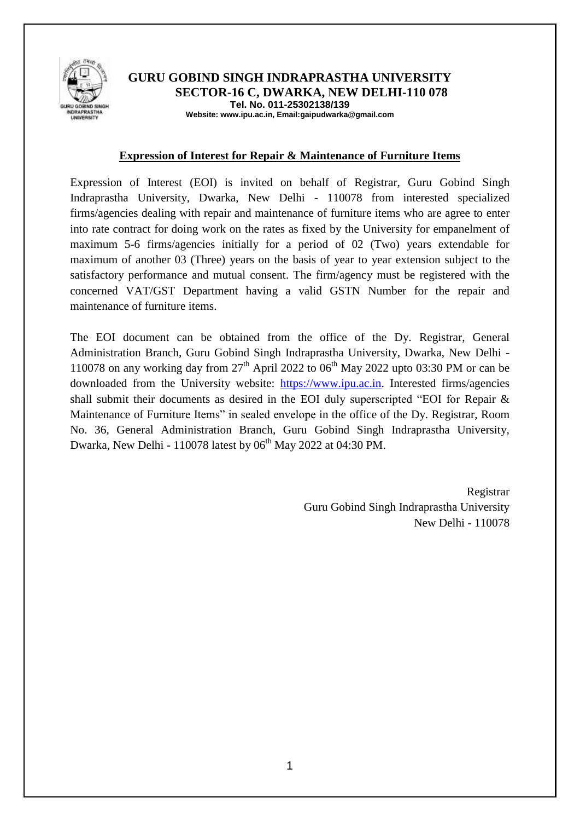

#### **GURU GOBIND SINGH INDRAPRASTHA UNIVERSITY SECTOR-16 C, DWARKA, NEW DELHI-110 078 Tel. No. 011-25302138/139 Website: www.ipu.ac.in, Email:gaipudwarka@gmail.com**

#### **Expression of Interest for Repair & Maintenance of Furniture Items**

Expression of Interest (EOI) is invited on behalf of Registrar, Guru Gobind Singh Indraprastha University, Dwarka, New Delhi - 110078 from interested specialized firms/agencies dealing with repair and maintenance of furniture items who are agree to enter into rate contract for doing work on the rates as fixed by the University for empanelment of maximum 5-6 firms/agencies initially for a period of 02 (Two) years extendable for maximum of another 03 (Three) years on the basis of year to year extension subject to the satisfactory performance and mutual consent. The firm/agency must be registered with the concerned VAT/GST Department having a valid GSTN Number for the repair and maintenance of furniture items.

The EOI document can be obtained from the office of the Dy. Registrar, General Administration Branch, Guru Gobind Singh Indraprastha University, Dwarka, New Delhi - 110078 on any working day from  $27<sup>th</sup>$  April 2022 to 06<sup>th</sup> May 2022 upto 03:30 PM or can be downloaded from the University website: [https://www.ipu.ac.in.](https://www.ipu.ac.in/) Interested firms/agencies shall submit their documents as desired in the EOI duly superscripted "EOI for Repair & Maintenance of Furniture Items" in sealed envelope in the office of the Dy. Registrar, Room No. 36, General Administration Branch, Guru Gobind Singh Indraprastha University, Dwarka, New Delhi - 110078 latest by  $06<sup>th</sup>$  May 2022 at 04:30 PM.

> Registrar Guru Gobind Singh Indraprastha University New Delhi - 110078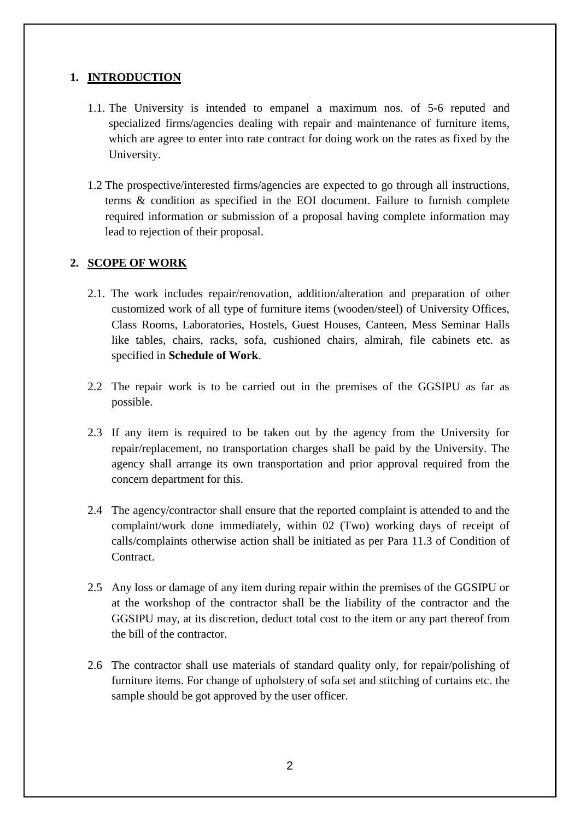# **1. INTRODUCTION**

- 1.1. The University is intended to empanel a maximum nos. of 5-6 reputed and specialized firms/agencies dealing with repair and maintenance of furniture items, which are agree to enter into rate contract for doing work on the rates as fixed by the University.
- 1.2 The prospective/interested firms/agencies are expected to go through all instructions, terms & condition as specified in the EOI document. Failure to furnish complete required information or submission of a proposal having complete information may lead to rejection of their proposal.

# **2. SCOPE OF WORK**

- 2.1. The work includes repair/renovation, addition/alteration and preparation of other customized work of all type of furniture items (wooden/steel) of University Offices, Class Rooms, Laboratories, Hostels, Guest Houses, Canteen, Mess Seminar Halls like tables, chairs, racks, sofa, cushioned chairs, almirah, file cabinets etc. as specified in **Schedule of Work**.
- 2.2 The repair work is to be carried out in the premises of the GGSIPU as far as possible.
- 2.3 If any item is required to be taken out by the agency from the University for repair/replacement, no transportation charges shall be paid by the University. The agency shall arrange its own transportation and prior approval required from the concern department for this.
- 2.4 The agency/contractor shall ensure that the reported complaint is attended to and the complaint/work done immediately, within 02 (Two) working days of receipt of calls/complaints otherwise action shall be initiated as per Para 11.3 of Condition of Contract.
- 2.5 Any loss or damage of any item during repair within the premises of the GGSIPU or at the workshop of the contractor shall be the liability of the contractor and the GGSIPU may, at its discretion, deduct total cost to the item or any part thereof from the bill of the contractor.
- 2.6 The contractor shall use materials of standard quality only, for repair/polishing of furniture items. For change of upholstery of sofa set and stitching of curtains etc. the sample should be got approved by the user officer.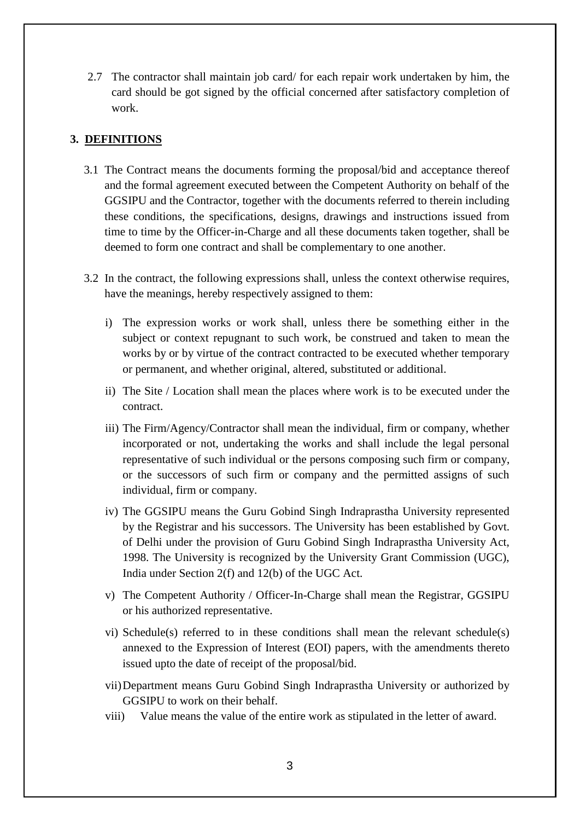2.7 The contractor shall maintain job card/ for each repair work undertaken by him, the card should be got signed by the official concerned after satisfactory completion of work.

## **3. DEFINITIONS**

- 3.1 The Contract means the documents forming the proposal/bid and acceptance thereof and the formal agreement executed between the Competent Authority on behalf of the GGSIPU and the Contractor, together with the documents referred to therein including these conditions, the specifications, designs, drawings and instructions issued from time to time by the Officer-in-Charge and all these documents taken together, shall be deemed to form one contract and shall be complementary to one another.
- 3.2 In the contract, the following expressions shall, unless the context otherwise requires, have the meanings, hereby respectively assigned to them:
	- i) The expression works or work shall, unless there be something either in the subject or context repugnant to such work, be construed and taken to mean the works by or by virtue of the contract contracted to be executed whether temporary or permanent, and whether original, altered, substituted or additional.
	- ii) The Site / Location shall mean the places where work is to be executed under the contract.
	- iii) The Firm/Agency/Contractor shall mean the individual, firm or company, whether incorporated or not, undertaking the works and shall include the legal personal representative of such individual or the persons composing such firm or company, or the successors of such firm or company and the permitted assigns of such individual, firm or company.
	- iv) The GGSIPU means the Guru Gobind Singh Indraprastha University represented by the Registrar and his successors. The University has been established by Govt. of Delhi under the provision of Guru Gobind Singh Indraprastha University Act, 1998. The University is recognized by the University Grant Commission (UGC), India under Section 2(f) and 12(b) of the UGC Act.
	- v) The Competent Authority / Officer-In-Charge shall mean the Registrar, GGSIPU or his authorized representative.
	- vi) Schedule(s) referred to in these conditions shall mean the relevant schedule(s) annexed to the Expression of Interest (EOI) papers, with the amendments thereto issued upto the date of receipt of the proposal/bid.
	- vii)Department means Guru Gobind Singh Indraprastha University or authorized by GGSIPU to work on their behalf.
	- viii) Value means the value of the entire work as stipulated in the letter of award.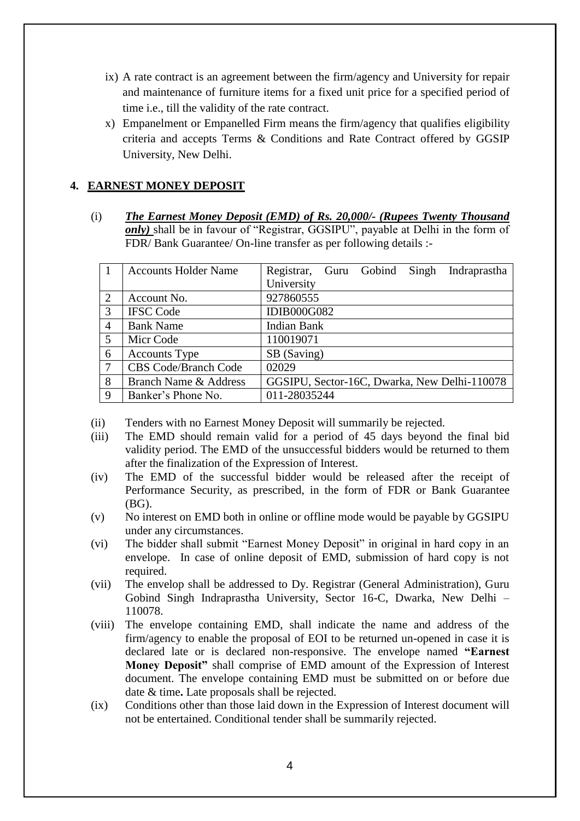- ix) A rate contract is an agreement between the firm/agency and University for repair and maintenance of furniture items for a fixed unit price for a specified period of time i.e., till the validity of the rate contract.
- x) Empanelment or Empanelled Firm means the firm/agency that qualifies eligibility criteria and accepts Terms & Conditions and Rate Contract offered by GGSIP University, New Delhi.

# **4. EARNEST MONEY DEPOSIT**

(i) *The Earnest Money Deposit (EMD) of Rs. 20,000/- (Rupees Twenty Thousand only)* shall be in favour of "Registrar, GGSIPU", payable at Delhi in the form of FDR/ Bank Guarantee/ On-line transfer as per following details :-

|                | <b>Accounts Holder Name</b> | Registrar, Guru Gobind Singh Indraprastha    |
|----------------|-----------------------------|----------------------------------------------|
|                |                             | University                                   |
| $\overline{2}$ | Account No.                 | 927860555                                    |
| 3              | <b>IFSC Code</b>            | <b>IDIB000G082</b>                           |
| $\overline{4}$ | <b>Bank Name</b>            | <b>Indian Bank</b>                           |
| 5              | Micr Code                   | 110019071                                    |
| 6              | <b>Accounts Type</b>        | SB (Saving)                                  |
| 7              | <b>CBS Code/Branch Code</b> | 02029                                        |
| 8              | Branch Name & Address       | GGSIPU, Sector-16C, Dwarka, New Delhi-110078 |
| 9              | Banker's Phone No.          | 011-28035244                                 |

- (ii) Tenders with no Earnest Money Deposit will summarily be rejected.
- (iii) The EMD should remain valid for a period of 45 days beyond the final bid validity period. The EMD of the unsuccessful bidders would be returned to them after the finalization of the Expression of Interest.
- (iv) The EMD of the successful bidder would be released after the receipt of Performance Security, as prescribed, in the form of FDR or Bank Guarantee (BG).
- (v) No interest on EMD both in online or offline mode would be payable by GGSIPU under any circumstances.
- (vi) The bidder shall submit "Earnest Money Deposit" in original in hard copy in an envelope. In case of online deposit of EMD, submission of hard copy is not required.
- (vii) The envelop shall be addressed to Dy. Registrar (General Administration), Guru Gobind Singh Indraprastha University, Sector 16-C, Dwarka, New Delhi – 110078.
- (viii) The envelope containing EMD, shall indicate the name and address of the firm/agency to enable the proposal of EOI to be returned un-opened in case it is declared late or is declared non-responsive. The envelope named **"Earnest Money Deposit"** shall comprise of EMD amount of the Expression of Interest document. The envelope containing EMD must be submitted on or before due date & time**.** Late proposals shall be rejected.
- (ix) Conditions other than those laid down in the Expression of Interest document will not be entertained. Conditional tender shall be summarily rejected.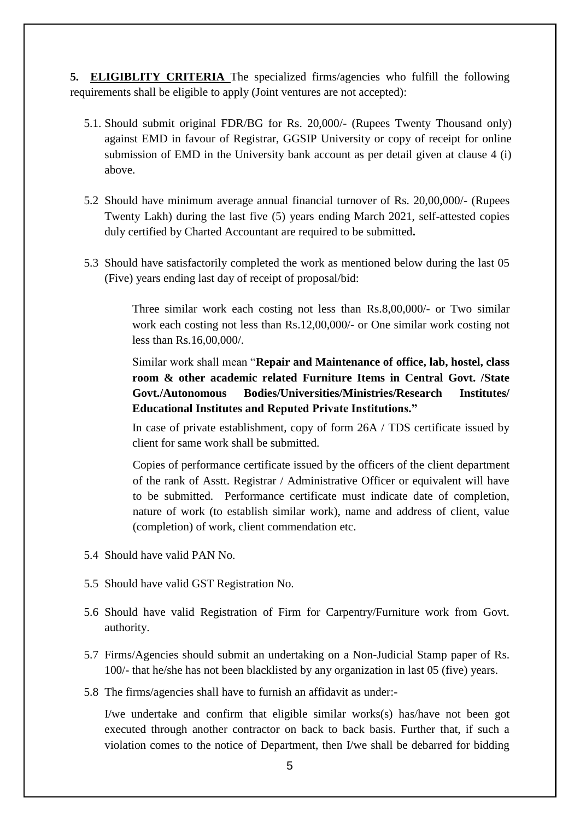**5. ELIGIBLITY CRITERIA** The specialized firms/agencies who fulfill the following requirements shall be eligible to apply (Joint ventures are not accepted):

- 5.1. Should submit original FDR/BG for Rs. 20,000/- (Rupees Twenty Thousand only) against EMD in favour of Registrar, GGSIP University or copy of receipt for online submission of EMD in the University bank account as per detail given at clause 4 (i) above.
- 5.2 Should have minimum average annual financial turnover of Rs. 20,00,000/- (Rupees Twenty Lakh) during the last five (5) years ending March 2021, self-attested copies duly certified by Charted Accountant are required to be submitted**.**
- 5.3 Should have satisfactorily completed the work as mentioned below during the last 05 (Five) years ending last day of receipt of proposal/bid:

Three similar work each costing not less than Rs.8,00,000/- or Two similar work each costing not less than Rs.12,00,000/- or One similar work costing not less than Rs.16,00,000/.

Similar work shall mean "**Repair and Maintenance of office, lab, hostel, class room & other academic related Furniture Items in Central Govt. /State Govt./Autonomous Bodies/Universities/Ministries/Research Institutes/ Educational Institutes and Reputed Private Institutions."**

In case of private establishment, copy of form 26A / TDS certificate issued by client for same work shall be submitted.

Copies of performance certificate issued by the officers of the client department of the rank of Asstt. Registrar / Administrative Officer or equivalent will have to be submitted. Performance certificate must indicate date of completion, nature of work (to establish similar work), name and address of client, value (completion) of work, client commendation etc.

- 5.4 Should have valid PAN No.
- 5.5 Should have valid GST Registration No.
- 5.6 Should have valid Registration of Firm for Carpentry/Furniture work from Govt. authority.
- 5.7 Firms/Agencies should submit an undertaking on a Non-Judicial Stamp paper of Rs. 100/- that he/she has not been blacklisted by any organization in last 05 (five) years.
- 5.8 The firms/agencies shall have to furnish an affidavit as under:-

I/we undertake and confirm that eligible similar works(s) has/have not been got executed through another contractor on back to back basis. Further that, if such a violation comes to the notice of Department, then I/we shall be debarred for bidding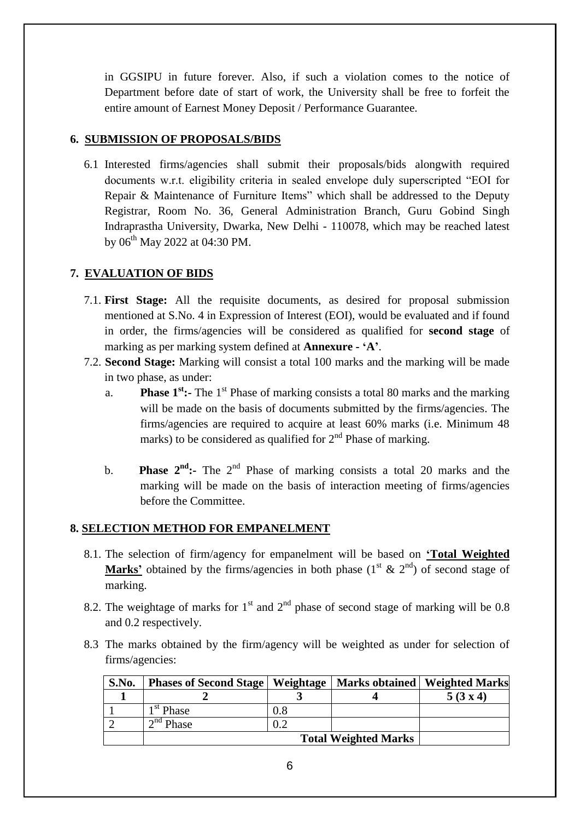in GGSIPU in future forever. Also, if such a violation comes to the notice of Department before date of start of work, the University shall be free to forfeit the entire amount of Earnest Money Deposit / Performance Guarantee.

## **6. SUBMISSION OF PROPOSALS/BIDS**

6.1 Interested firms/agencies shall submit their proposals/bids alongwith required documents w.r.t. eligibility criteria in sealed envelope duly superscripted "EOI for Repair & Maintenance of Furniture Items" which shall be addressed to the Deputy Registrar, Room No. 36, General Administration Branch, Guru Gobind Singh Indraprastha University, Dwarka, New Delhi - 110078, which may be reached latest by  $06^{th}$  May 2022 at 04:30 PM.

# **7. EVALUATION OF BIDS**

- 7.1. **First Stage:** All the requisite documents, as desired for proposal submission mentioned at S.No. 4 in Expression of Interest (EOI), would be evaluated and if found in order, the firms/agencies will be considered as qualified for **second stage** of marking as per marking system defined at **Annexure - 'A'**.
- 7.2. **Second Stage:** Marking will consist a total 100 marks and the marking will be made in two phase, as under:
	- a. **Phase 1<sup>st</sup>:** The 1<sup>st</sup> Phase of marking consists a total 80 marks and the marking will be made on the basis of documents submitted by the firms/agencies. The firms/agencies are required to acquire at least 60% marks (i.e. Minimum 48 marks) to be considered as qualified for  $2<sup>nd</sup>$  Phase of marking.
	- b. **Phase 2<sup>nd</sup>:-** The 2<sup>nd</sup> Phase of marking consists a total 20 marks and the marking will be made on the basis of interaction meeting of firms/agencies before the Committee.

# **8. SELECTION METHOD FOR EMPANELMENT**

- 8.1. The selection of firm/agency for empanelment will be based on **'Total Weighted Marks'** obtained by the firms/agencies in both phase  $(1<sup>st</sup> & 2<sup>nd</sup>)$  of second stage of marking.
- 8.2. The weightage of marks for  $1<sup>st</sup>$  and  $2<sup>nd</sup>$  phase of second stage of marking will be 0.8 and 0.2 respectively.
- 8.3 The marks obtained by the firm/agency will be weighted as under for selection of firms/agencies:

| S.No. | <b>Phases of Second Stage   Weightage   Marks obtained   Weighted Marks</b> |           |  |        |
|-------|-----------------------------------------------------------------------------|-----------|--|--------|
|       |                                                                             |           |  | 5(3x4) |
|       | 1 <sup>st</sup> Phase                                                       | $\rm 0.8$ |  |        |
|       | $\overline{\text{}}^{\text{nd}}$ Phase                                      |           |  |        |
|       |                                                                             |           |  |        |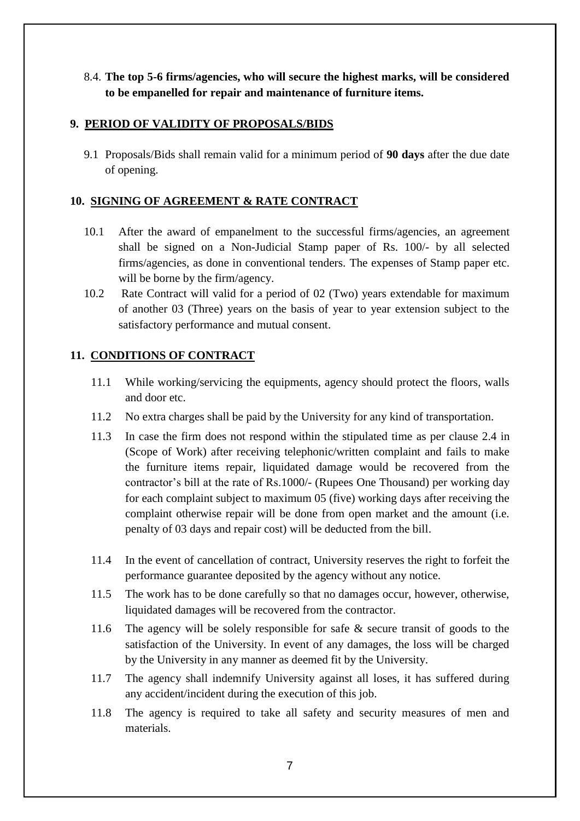# 8.4. **The top 5-6 firms/agencies, who will secure the highest marks, will be considered to be empanelled for repair and maintenance of furniture items.**

## **9. PERIOD OF VALIDITY OF PROPOSALS/BIDS**

9.1 Proposals/Bids shall remain valid for a minimum period of **90 days** after the due date of opening.

## **10. SIGNING OF AGREEMENT & RATE CONTRACT**

- 10.1 After the award of empanelment to the successful firms/agencies, an agreement shall be signed on a Non-Judicial Stamp paper of Rs. 100/- by all selected firms/agencies, as done in conventional tenders. The expenses of Stamp paper etc. will be borne by the firm/agency.
- 10.2 Rate Contract will valid for a period of 02 (Two) years extendable for maximum of another 03 (Three) years on the basis of year to year extension subject to the satisfactory performance and mutual consent.

## **11. CONDITIONS OF CONTRACT**

- 11.1 While working/servicing the equipments, agency should protect the floors, walls and door etc.
- 11.2 No extra charges shall be paid by the University for any kind of transportation.
- 11.3 In case the firm does not respond within the stipulated time as per clause 2.4 in (Scope of Work) after receiving telephonic/written complaint and fails to make the furniture items repair, liquidated damage would be recovered from the contractor's bill at the rate of Rs.1000/- (Rupees One Thousand) per working day for each complaint subject to maximum 05 (five) working days after receiving the complaint otherwise repair will be done from open market and the amount (i.e. penalty of 03 days and repair cost) will be deducted from the bill.
- 11.4 In the event of cancellation of contract, University reserves the right to forfeit the performance guarantee deposited by the agency without any notice.
- 11.5 The work has to be done carefully so that no damages occur, however, otherwise, liquidated damages will be recovered from the contractor.
- 11.6 The agency will be solely responsible for safe & secure transit of goods to the satisfaction of the University. In event of any damages, the loss will be charged by the University in any manner as deemed fit by the University.
- 11.7 The agency shall indemnify University against all loses, it has suffered during any accident/incident during the execution of this job.
- 11.8 The agency is required to take all safety and security measures of men and materials.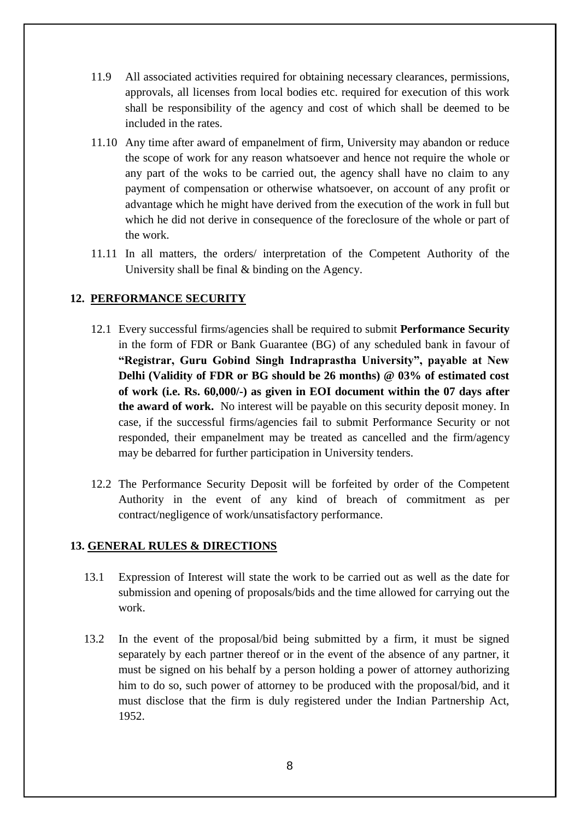- 11.9 All associated activities required for obtaining necessary clearances, permissions, approvals, all licenses from local bodies etc. required for execution of this work shall be responsibility of the agency and cost of which shall be deemed to be included in the rates.
- 11.10 Any time after award of empanelment of firm, University may abandon or reduce the scope of work for any reason whatsoever and hence not require the whole or any part of the woks to be carried out, the agency shall have no claim to any payment of compensation or otherwise whatsoever, on account of any profit or advantage which he might have derived from the execution of the work in full but which he did not derive in consequence of the foreclosure of the whole or part of the work.
- 11.11 In all matters, the orders/ interpretation of the Competent Authority of the University shall be final & binding on the Agency.

## **12. PERFORMANCE SECURITY**

- 12.1 Every successful firms/agencies shall be required to submit **Performance Security**  in the form of FDR or Bank Guarantee (BG) of any scheduled bank in favour of **"Registrar, Guru Gobind Singh Indraprastha University", payable at New Delhi (Validity of FDR or BG should be 26 months) @ 03% of estimated cost of work (i.e. Rs. 60,000/-) as given in EOI document within the 07 days after the award of work.** No interest will be payable on this security deposit money. In case, if the successful firms/agencies fail to submit Performance Security or not responded, their empanelment may be treated as cancelled and the firm/agency may be debarred for further participation in University tenders.
- 12.2 The Performance Security Deposit will be forfeited by order of the Competent Authority in the event of any kind of breach of commitment as per contract/negligence of work/unsatisfactory performance.

## **13. GENERAL RULES & DIRECTIONS**

- 13.1 Expression of Interest will state the work to be carried out as well as the date for submission and opening of proposals/bids and the time allowed for carrying out the work.
- 13.2 In the event of the proposal/bid being submitted by a firm, it must be signed separately by each partner thereof or in the event of the absence of any partner, it must be signed on his behalf by a person holding a power of attorney authorizing him to do so, such power of attorney to be produced with the proposal/bid, and it must disclose that the firm is duly registered under the Indian Partnership Act, 1952.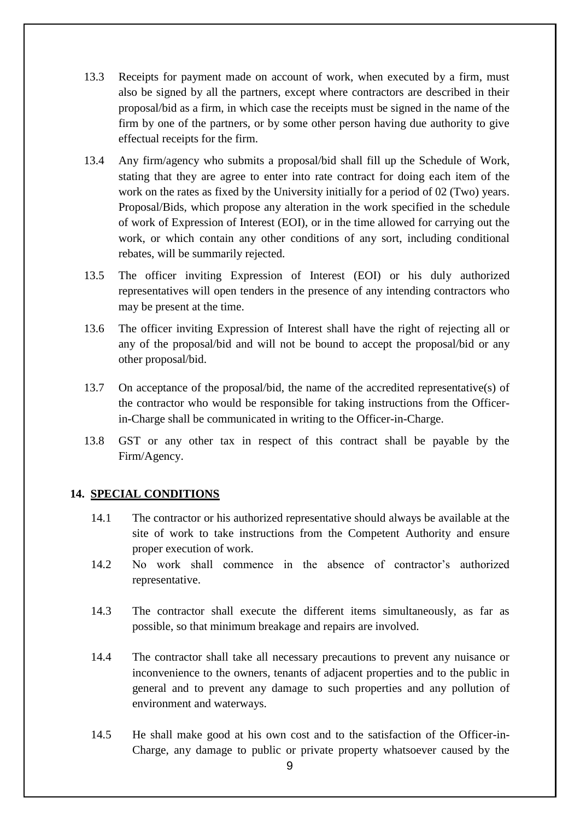- 13.3 Receipts for payment made on account of work, when executed by a firm, must also be signed by all the partners, except where contractors are described in their proposal/bid as a firm, in which case the receipts must be signed in the name of the firm by one of the partners, or by some other person having due authority to give effectual receipts for the firm.
- 13.4 Any firm/agency who submits a proposal/bid shall fill up the Schedule of Work, stating that they are agree to enter into rate contract for doing each item of the work on the rates as fixed by the University initially for a period of 02 (Two) years. Proposal/Bids, which propose any alteration in the work specified in the schedule of work of Expression of Interest (EOI), or in the time allowed for carrying out the work, or which contain any other conditions of any sort, including conditional rebates, will be summarily rejected.
- 13.5 The officer inviting Expression of Interest (EOI) or his duly authorized representatives will open tenders in the presence of any intending contractors who may be present at the time.
- 13.6 The officer inviting Expression of Interest shall have the right of rejecting all or any of the proposal/bid and will not be bound to accept the proposal/bid or any other proposal/bid.
- 13.7 On acceptance of the proposal/bid, the name of the accredited representative(s) of the contractor who would be responsible for taking instructions from the Officerin-Charge shall be communicated in writing to the Officer-in-Charge.
- 13.8 GST or any other tax in respect of this contract shall be payable by the Firm/Agency.

## **14. SPECIAL CONDITIONS**

- 14.1 The contractor or his authorized representative should always be available at the site of work to take instructions from the Competent Authority and ensure proper execution of work.
- 14.2 No work shall commence in the absence of contractor's authorized representative.
- 14.3 The contractor shall execute the different items simultaneously, as far as possible, so that minimum breakage and repairs are involved.
- 14.4 The contractor shall take all necessary precautions to prevent any nuisance or inconvenience to the owners, tenants of adjacent properties and to the public in general and to prevent any damage to such properties and any pollution of environment and waterways.
- 14.5 He shall make good at his own cost and to the satisfaction of the Officer-in-Charge, any damage to public or private property whatsoever caused by the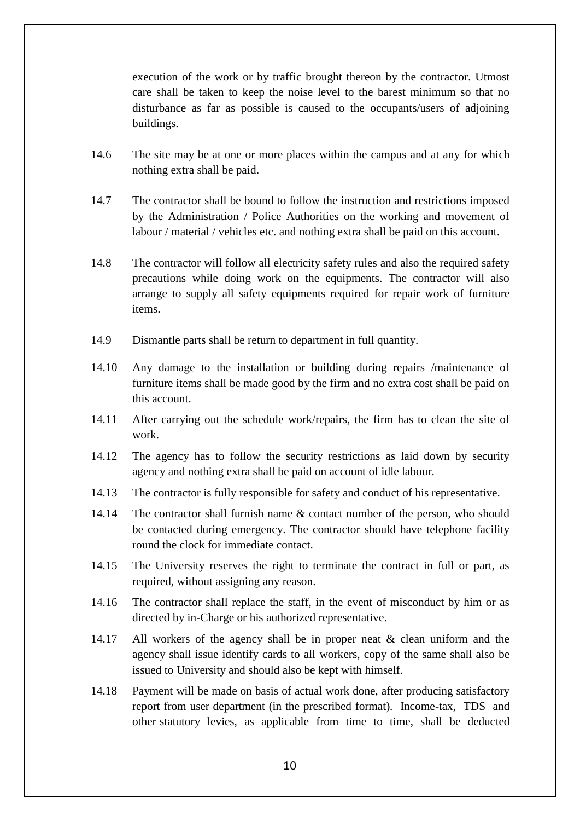execution of the work or by traffic brought thereon by the contractor. Utmost care shall be taken to keep the noise level to the barest minimum so that no disturbance as far as possible is caused to the occupants/users of adjoining buildings.

- 14.6 The site may be at one or more places within the campus and at any for which nothing extra shall be paid.
- 14.7 The contractor shall be bound to follow the instruction and restrictions imposed by the Administration / Police Authorities on the working and movement of labour / material / vehicles etc. and nothing extra shall be paid on this account.
- 14.8 The contractor will follow all electricity safety rules and also the required safety precautions while doing work on the equipments. The contractor will also arrange to supply all safety equipments required for repair work of furniture items.
- 14.9 Dismantle parts shall be return to department in full quantity.
- 14.10 Any damage to the installation or building during repairs /maintenance of furniture items shall be made good by the firm and no extra cost shall be paid on this account.
- 14.11 After carrying out the schedule work/repairs, the firm has to clean the site of work.
- 14.12 The agency has to follow the security restrictions as laid down by security agency and nothing extra shall be paid on account of idle labour.
- 14.13 The contractor is fully responsible for safety and conduct of his representative.
- 14.14 The contractor shall furnish name & contact number of the person, who should be contacted during emergency. The contractor should have telephone facility round the clock for immediate contact.
- 14.15 The University reserves the right to terminate the contract in full or part, as required, without assigning any reason.
- 14.16 The contractor shall replace the staff, in the event of misconduct by him or as directed by in-Charge or his authorized representative.
- 14.17 All workers of the agency shall be in proper neat & clean uniform and the agency shall issue identify cards to all workers, copy of the same shall also be issued to University and should also be kept with himself.
- 14.18 Payment will be made on basis of actual work done, after producing satisfactory report from user department (in the prescribed format). Income-tax, TDS and other statutory levies, as applicable from time to time, shall be deducted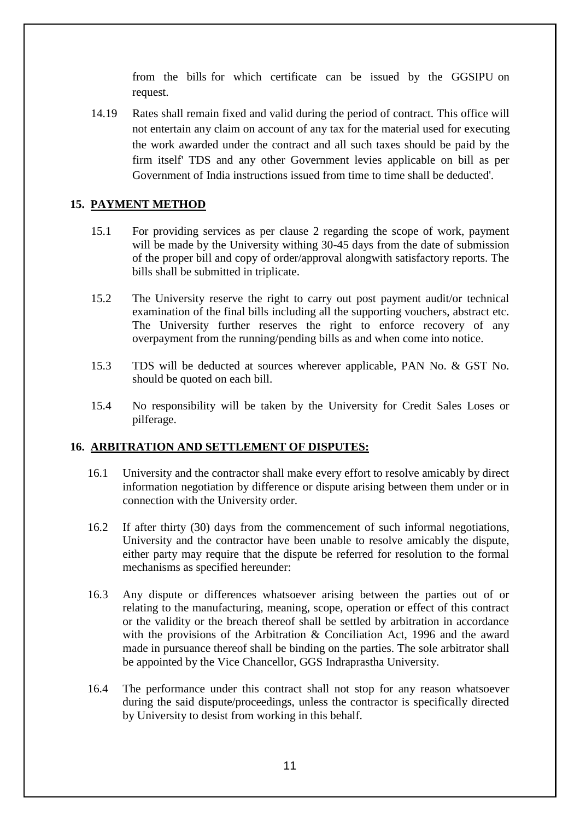from the bills for which certificate can be issued by the GGSIPU on request.

14.19 Rates shall remain fixed and valid during the period of contract. This office will not entertain any claim on account of any tax for the material used for executing the work awarded under the contract and all such taxes should be paid by the firm itself' TDS and any other Government levies applicable on bill as per Government of India instructions issued from time to time shall be deducted'.

## **15. PAYMENT METHOD**

- 15.1 For providing services as per clause 2 regarding the scope of work, payment will be made by the University withing 30-45 days from the date of submission of the proper bill and copy of order/approval alongwith satisfactory reports. The bills shall be submitted in triplicate.
- 15.2 The University reserve the right to carry out post payment audit/or technical examination of the final bills including all the supporting vouchers, abstract etc. The University further reserves the right to enforce recovery of any overpayment from the running/pending bills as and when come into notice.
- 15.3 TDS will be deducted at sources wherever applicable, PAN No. & GST No. should be quoted on each bill.
- 15.4 No responsibility will be taken by the University for Credit Sales Loses or pilferage.

## **16. ARBITRATION AND SETTLEMENT OF DISPUTES:**

- 16.1 University and the contractor shall make every effort to resolve amicably by direct information negotiation by difference or dispute arising between them under or in connection with the University order.
- 16.2 If after thirty (30) days from the commencement of such informal negotiations, University and the contractor have been unable to resolve amicably the dispute, either party may require that the dispute be referred for resolution to the formal mechanisms as specified hereunder:
- 16.3 Any dispute or differences whatsoever arising between the parties out of or relating to the manufacturing, meaning, scope, operation or effect of this contract or the validity or the breach thereof shall be settled by arbitration in accordance with the provisions of the Arbitration & Conciliation Act, 1996 and the award made in pursuance thereof shall be binding on the parties. The sole arbitrator shall be appointed by the Vice Chancellor, GGS Indraprastha University.
- 16.4 The performance under this contract shall not stop for any reason whatsoever during the said dispute/proceedings, unless the contractor is specifically directed by University to desist from working in this behalf.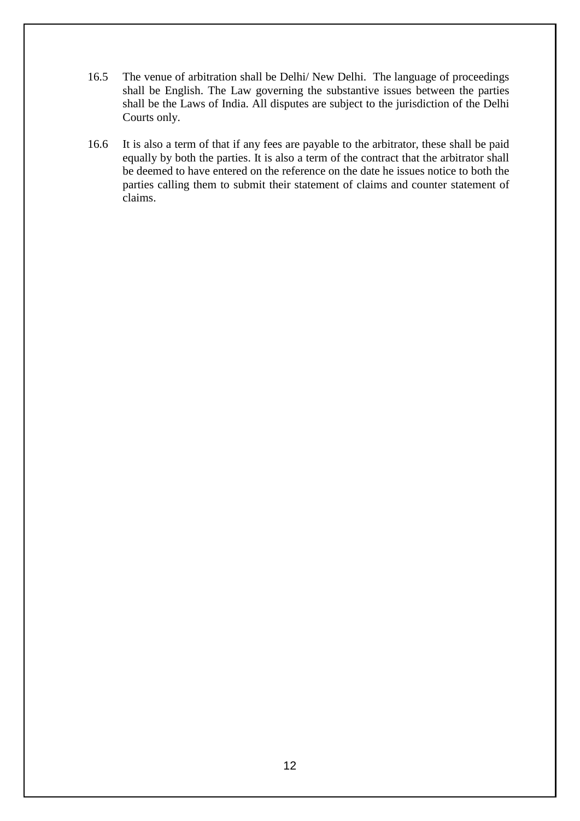- 16.5 The venue of arbitration shall be Delhi/ New Delhi. The language of proceedings shall be English. The Law governing the substantive issues between the parties shall be the Laws of India. All disputes are subject to the jurisdiction of the Delhi Courts only.
- 16.6 It is also a term of that if any fees are payable to the arbitrator, these shall be paid equally by both the parties. It is also a term of the contract that the arbitrator shall be deemed to have entered on the reference on the date he issues notice to both the parties calling them to submit their statement of claims and counter statement of claims.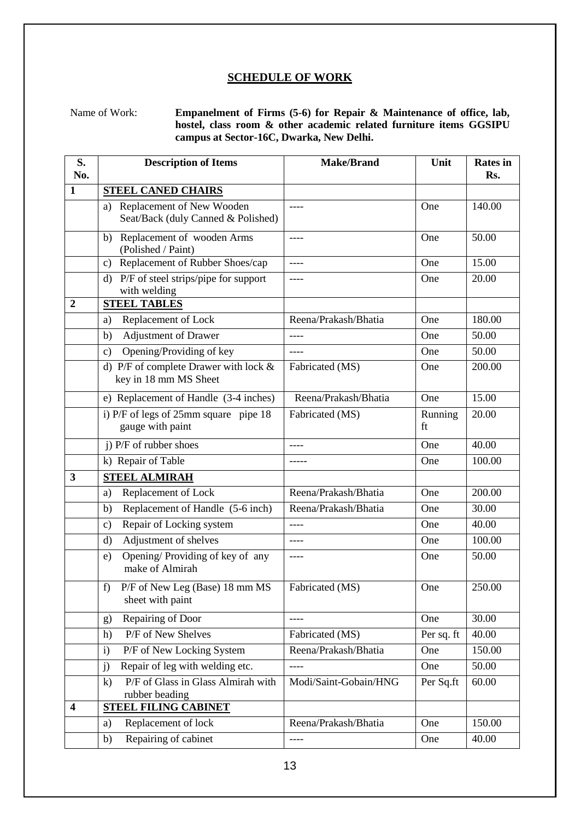#### **SCHEDULE OF WORK**

Name of Work: **Empanelment of Firms (5-6) for Repair & Maintenance of office, lab, hostel, class room & other academic related furniture items GGSIPU campus at Sector-16C, Dwarka, New Delhi.**

| S.<br>No.        | <b>Description of Items</b>                                           | <b>Make/Brand</b>     | Unit          | <b>Rates</b> in<br>Rs. |
|------------------|-----------------------------------------------------------------------|-----------------------|---------------|------------------------|
| $\mathbf{1}$     | <b>STEEL CANED CHAIRS</b>                                             |                       |               |                        |
|                  | Replacement of New Wooden<br>a)<br>Seat/Back (duly Canned & Polished) | ----                  | One           | 140.00                 |
|                  | Replacement of wooden Arms<br>b)<br>(Polished / Paint)                | ----                  | One           | 50.00                  |
|                  | Replacement of Rubber Shoes/cap<br>c)                                 | ----                  | One           | 15.00                  |
|                  | P/F of steel strips/pipe for support<br>d)<br>with welding            | ----                  | One           | 20.00                  |
| $\boldsymbol{2}$ | <b>STEEL TABLES</b>                                                   |                       |               |                        |
|                  | Replacement of Lock<br>a)                                             | Reena/Prakash/Bhatia  | One           | 180.00                 |
|                  | <b>Adjustment of Drawer</b><br>b)                                     | ----                  | One           | 50.00                  |
|                  | Opening/Providing of key<br>$\mathbf{c})$                             |                       | One           | 50.00                  |
|                  | d) P/F of complete Drawer with lock $&$<br>key in 18 mm MS Sheet      | Fabricated (MS)       | One           | 200.00                 |
|                  | e) Replacement of Handle (3-4 inches)                                 | Reena/Prakash/Bhatia  | One           | 15.00                  |
|                  | i) P/F of legs of 25mm square pipe 18<br>gauge with paint             | Fabricated (MS)       | Running<br>ft | 20.00                  |
|                  | j) P/F of rubber shoes                                                | ----                  | One           | 40.00                  |
|                  | k) Repair of Table                                                    |                       | One           | 100.00                 |
| 3                | <b>STEEL ALMIRAH</b>                                                  |                       |               |                        |
|                  | Replacement of Lock<br>a)                                             | Reena/Prakash/Bhatia  | One           | 200.00                 |
|                  | Replacement of Handle (5-6 inch)<br>b)                                | Reena/Prakash/Bhatia  | One           | 30.00                  |
|                  | Repair of Locking system<br>c)                                        |                       | One           | 40.00                  |
|                  | Adjustment of shelves<br>$\rm d)$                                     | ----                  | One           | 100.00                 |
|                  | Opening/Providing of key of any<br>e)<br>make of Almirah              | ----                  | One           | 50.00                  |
|                  | P/F of New Leg (Base) 18 mm MS<br>f)<br>sheet with paint              | Fabricated (MS)       | One           | 250.00                 |
|                  | Repairing of Door<br>g)                                               | ----                  | One           | 30.00                  |
|                  | P/F of New Shelves<br>h)                                              | Fabricated (MS)       | Per sq. ft    | 40.00                  |
|                  | P/F of New Locking System<br>$\mathbf{i}$                             | Reena/Prakash/Bhatia  | One           | 150.00                 |
|                  | Repair of leg with welding etc.<br>j)                                 | $---$                 | One           | 50.00                  |
|                  | P/F of Glass in Glass Almirah with<br>$\bf k)$<br>rubber beading      | Modi/Saint-Gobain/HNG | Per Sq.ft     | 60.00                  |
| $\boldsymbol{4}$ | <b>STEEL FILING CABINET</b>                                           |                       |               |                        |
|                  | Replacement of lock<br>a)                                             | Reena/Prakash/Bhatia  | One           | 150.00                 |
|                  | Repairing of cabinet<br>b)                                            | ----                  | One           | 40.00                  |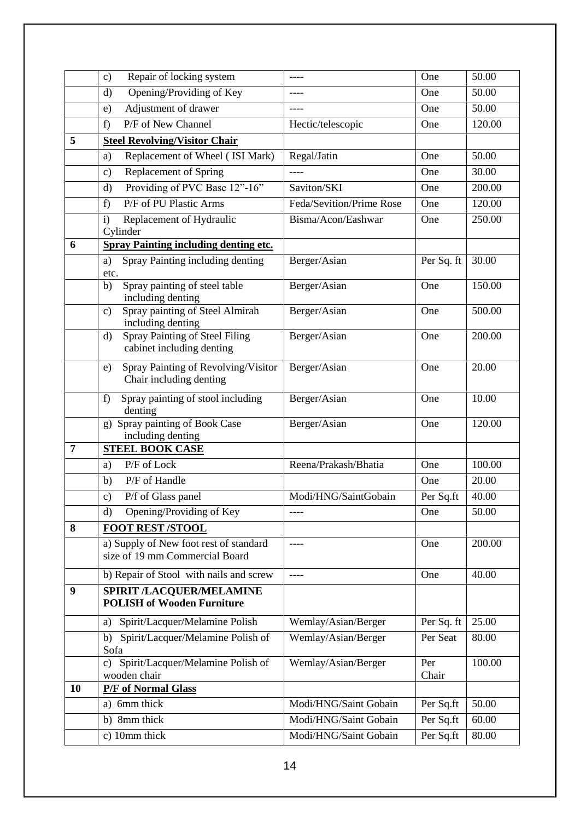|    | Repair of locking system<br>$\mathbf{c})$                                |                          | One          | 50.00  |
|----|--------------------------------------------------------------------------|--------------------------|--------------|--------|
|    | Opening/Providing of Key<br>d)                                           | ----                     | One          | 50.00  |
|    | Adjustment of drawer<br>e)                                               |                          |              | 50.00  |
|    | P/F of New Channel<br>f)                                                 | Hectic/telescopic        | One          | 120.00 |
| 5  | <b>Steel Revolving/Visitor Chair</b>                                     |                          |              |        |
|    | Replacement of Wheel (ISI Mark)<br>a)                                    | Regal/Jatin              | One          | 50.00  |
|    | Replacement of Spring<br>$\mathbf{c})$                                   | ----                     | One          | 30.00  |
|    | Providing of PVC Base 12"-16"<br>d)                                      | Saviton/SKI              | One          | 200.00 |
|    | P/F of PU Plastic Arms<br>f)                                             | Feda/Sevition/Prime Rose | One          | 120.00 |
|    | Replacement of Hydraulic<br>i)<br>Cylinder                               | Bisma/Acon/Eashwar       | One          | 250.00 |
| 6  | <b>Spray Painting including denting etc.</b>                             |                          |              |        |
|    | Spray Painting including denting<br>a)<br>etc.                           | Berger/Asian             | Per Sq. ft   | 30.00  |
|    | Spray painting of steel table<br>b)<br>including denting                 | Berger/Asian             | One          | 150.00 |
|    | Spray painting of Steel Almirah<br>c)<br>including denting               | Berger/Asian             | One          | 500.00 |
|    | Spray Painting of Steel Filing<br>$\rm d$<br>cabinet including denting   | Berger/Asian             | One          | 200.00 |
|    | Spray Painting of Revolving/Visitor<br>e)<br>Chair including denting     | Berger/Asian             | One          | 20.00  |
|    | Spray painting of stool including<br>f)<br>denting                       | Berger/Asian             | One          | 10.00  |
|    | Spray painting of Book Case<br>g)<br>including denting                   | Berger/Asian             | One          | 120.00 |
| 7  | <b>STEEL BOOK CASE</b>                                                   |                          |              |        |
|    | P/F of Lock<br>a)                                                        | Reena/Prakash/Bhatia     | One          | 100.00 |
|    | P/F of Handle<br>b)                                                      |                          | One          | 20.00  |
|    | P/f of Glass panel<br>c)                                                 | Modi/HNG/SaintGobain     | Per Sq.ft    | 40.00  |
|    | Opening/Providing of Key<br>d)                                           |                          | One          | 50.00  |
| 8  | <b>FOOT REST /STOOL</b>                                                  |                          |              |        |
|    | a) Supply of New foot rest of standard<br>size of 19 mm Commercial Board | ----                     | One          | 200.00 |
|    | b) Repair of Stool with nails and screw                                  | ----                     | One          | 40.00  |
| 9  | <b>SPIRIT /LACQUER/MELAMINE</b><br><b>POLISH of Wooden Furniture</b>     |                          |              |        |
|    | Spirit/Lacquer/Melamine Polish<br>a)                                     | Wemlay/Asian/Berger      | Per Sq. ft   | 25.00  |
|    | Spirit/Lacquer/Melamine Polish of<br>b)<br>Sofa                          | Wemlay/Asian/Berger      | Per Seat     | 80.00  |
|    | Spirit/Lacquer/Melamine Polish of<br>c)<br>wooden chair                  | Wemlay/Asian/Berger      | Per<br>Chair | 100.00 |
| 10 | <b>P/F</b> of Normal Glass                                               |                          |              |        |
|    | a) 6mm thick                                                             | Modi/HNG/Saint Gobain    | Per Sq.ft    | 50.00  |
|    | b) 8mm thick                                                             | Modi/HNG/Saint Gobain    | Per Sq.ft    | 60.00  |
|    | c) 10mm thick                                                            | Modi/HNG/Saint Gobain    | Per Sq.ft    | 80.00  |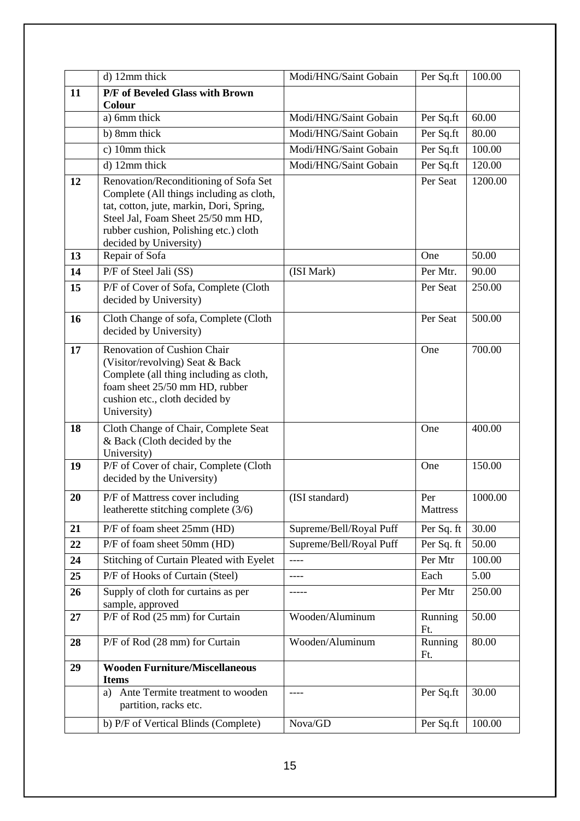|    | d) 12mm thick                                                                                                                                                                                                                          | Modi/HNG/Saint Gobain   | Per Sq.ft              | 100.00  |
|----|----------------------------------------------------------------------------------------------------------------------------------------------------------------------------------------------------------------------------------------|-------------------------|------------------------|---------|
| 11 | P/F of Beveled Glass with Brown                                                                                                                                                                                                        |                         |                        |         |
|    | Colour<br>a) 6mm thick                                                                                                                                                                                                                 | Modi/HNG/Saint Gobain   |                        | 60.00   |
|    | b) 8mm thick                                                                                                                                                                                                                           | Modi/HNG/Saint Gobain   | Per Sq.ft              | 80.00   |
|    | c) 10mm thick                                                                                                                                                                                                                          | Modi/HNG/Saint Gobain   | Per Sq.ft<br>Per Sq.ft | 100.00  |
|    | d) 12mm thick                                                                                                                                                                                                                          |                         |                        |         |
|    |                                                                                                                                                                                                                                        | Modi/HNG/Saint Gobain   | Per Sq.ft<br>Per Seat  | 120.00  |
| 12 | Renovation/Reconditioning of Sofa Set<br>Complete (All things including as cloth,<br>tat, cotton, jute, markin, Dori, Spring,<br>Steel Jal, Foam Sheet 25/50 mm HD,<br>rubber cushion, Polishing etc.) cloth<br>decided by University) |                         |                        | 1200.00 |
| 13 | Repair of Sofa                                                                                                                                                                                                                         |                         | One                    | 50.00   |
| 14 | P/F of Steel Jali (SS)                                                                                                                                                                                                                 | (ISI Mark)              | Per Mtr.               | 90.00   |
| 15 | P/F of Cover of Sofa, Complete (Cloth<br>decided by University)                                                                                                                                                                        |                         | Per Seat               | 250.00  |
| 16 | Cloth Change of sofa, Complete (Cloth<br>decided by University)                                                                                                                                                                        |                         | Per Seat               | 500.00  |
| 17 | Renovation of Cushion Chair<br>(Visitor/revolving) Seat & Back<br>Complete (all thing including as cloth,<br>foam sheet 25/50 mm HD, rubber<br>cushion etc., cloth decided by<br>University)                                           |                         | One                    | 700.00  |
| 18 | Cloth Change of Chair, Complete Seat<br>& Back (Cloth decided by the<br>University)                                                                                                                                                    |                         | One                    | 400.00  |
| 19 | P/F of Cover of chair, Complete (Cloth<br>decided by the University)                                                                                                                                                                   |                         | One                    | 150.00  |
| 20 | P/F of Mattress cover including<br>leatherette stitching complete (3/6)                                                                                                                                                                | (ISI standard)          | Per<br><b>Mattress</b> | 1000.00 |
| 21 | P/F of foam sheet 25mm (HD)                                                                                                                                                                                                            | Supreme/Bell/Royal Puff | Per Sq. ft             | 30.00   |
| 22 | P/F of foam sheet 50mm (HD)                                                                                                                                                                                                            | Supreme/Bell/Royal Puff | Per Sq. ft             | 50.00   |
| 24 | Stitching of Curtain Pleated with Eyelet                                                                                                                                                                                               |                         | Per Mtr                | 100.00  |
| 25 | P/F of Hooks of Curtain (Steel)                                                                                                                                                                                                        | ----                    | Each                   | 5.00    |
| 26 | Supply of cloth for curtains as per<br>sample, approved                                                                                                                                                                                |                         | Per Mtr                | 250.00  |
| 27 | P/F of Rod (25 mm) for Curtain                                                                                                                                                                                                         | Wooden/Aluminum         | Running<br>Ft.         | 50.00   |
| 28 | P/F of Rod (28 mm) for Curtain                                                                                                                                                                                                         | Wooden/Aluminum         | Running<br>Ft.         | 80.00   |
| 29 | <b>Wooden Furniture/Miscellaneous</b><br><b>Items</b>                                                                                                                                                                                  |                         |                        |         |
|    | Ante Termite treatment to wooden<br>a)<br>partition, racks etc.                                                                                                                                                                        | ----                    | Per Sq.ft              | 30.00   |
|    | b) P/F of Vertical Blinds (Complete)                                                                                                                                                                                                   | Nova/GD                 | Per Sq.ft              | 100.00  |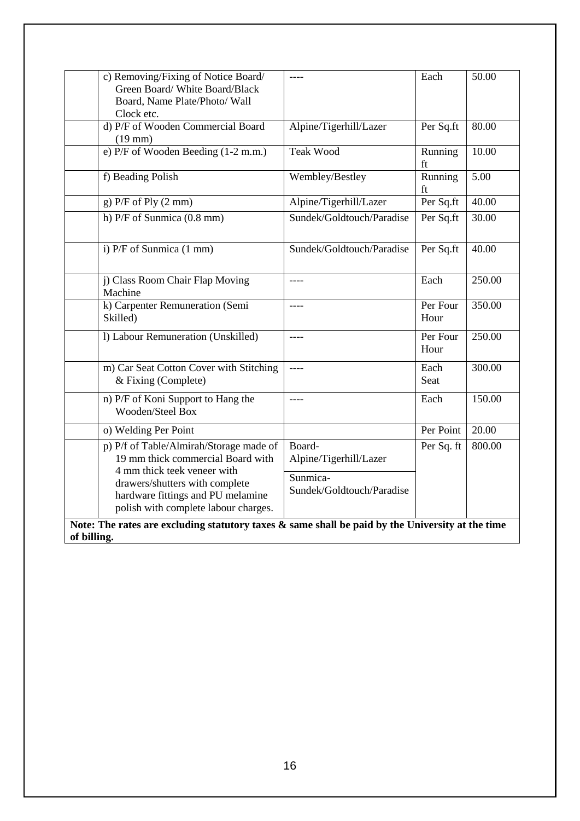| c) Removing/Fixing of Notice Board/<br>Green Board/White Board/Black<br>Board, Name Plate/Photo/ Wall<br>Clock etc. |                                       | Each             | 50.00  |  |  |
|---------------------------------------------------------------------------------------------------------------------|---------------------------------------|------------------|--------|--|--|
| d) P/F of Wooden Commercial Board<br>$(19$ mm $)$                                                                   | Alpine/Tigerhill/Lazer                | Per Sq.ft        | 80.00  |  |  |
| e) P/F of Wooden Beeding (1-2 m.m.)                                                                                 | <b>Teak Wood</b>                      | Running<br>ft    | 10.00  |  |  |
| f) Beading Polish                                                                                                   | Wembley/Bestley                       | Running<br>ft    | 5.00   |  |  |
| $g)$ P/F of Ply $(2 \text{ mm})$                                                                                    | Alpine/Tigerhill/Lazer                | Per Sq.ft        | 40.00  |  |  |
| h) P/F of Sunmica (0.8 mm)                                                                                          | Sundek/Goldtouch/Paradise             | Per Sq.ft        | 30.00  |  |  |
| $\overline{P/F}$ of Sunmica (1 mm)                                                                                  | Sundek/Goldtouch/Paradise             | Per Sq.ft        | 40.00  |  |  |
| j) Class Room Chair Flap Moving<br>Machine                                                                          | ----                                  | Each             | 250.00 |  |  |
| k) Carpenter Remuneration (Semi<br>Skilled)                                                                         | ----                                  | Per Four<br>Hour | 350.00 |  |  |
| 1) Labour Remuneration (Unskilled)                                                                                  | ----                                  | Per Four<br>Hour | 250.00 |  |  |
| m) Car Seat Cotton Cover with Stitching<br>& Fixing (Complete)                                                      | ----                                  | Each<br>Seat     | 300.00 |  |  |
| n) P/F of Koni Support to Hang the<br>Wooden/Steel Box                                                              | ----                                  | Each             | 150.00 |  |  |
| o) Welding Per Point                                                                                                |                                       | Per Point        | 20.00  |  |  |
| p) P/f of Table/Almirah/Storage made of<br>19 mm thick commercial Board with<br>4 mm thick teek veneer with         | Board-<br>Alpine/Tigerhill/Lazer      | Per Sq. ft       | 800.00 |  |  |
| drawers/shutters with complete<br>hardware fittings and PU melamine<br>polish with complete labour charges.         | Sunmica-<br>Sundek/Goldtouch/Paradise |                  |        |  |  |
| Note: The rates are excluding statutory taxes $\&$ same shall be paid by the University at the time<br>of billing.  |                                       |                  |        |  |  |